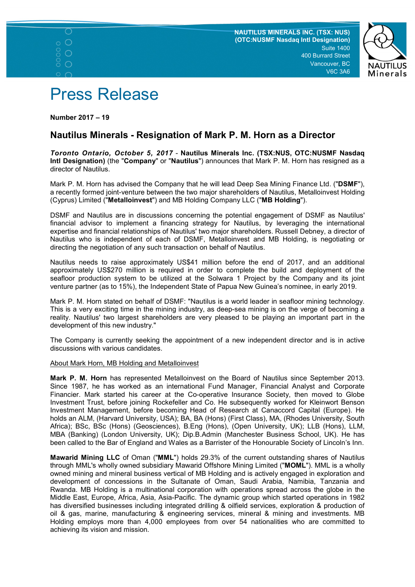



V6C 3A6

# Press Release

Number 2017 – 19

# Nautilus Minerals - Resignation of Mark P. M. Horn as a Director

## Toronto Ontario, October 5, 2017 - Nautilus Minerals Inc. (TSX:NUS, OTC:NUSMF Nasdaq Intl Designation) (the "Company" or "Nautilus") announces that Mark P. M. Horn has resigned as a director of Nautilus.

Mark P. M. Horn has advised the Company that he will lead Deep Sea Mining Finance Ltd. ("DSMF"). a recently formed joint-venture between the two major shareholders of Nautilus, Metalloinvest Holding (Cyprus) Limited ("Metalloinvest") and MB Holding Company LLC ("MB Holding").

DSMF and Nautilus are in discussions concerning the potential engagement of DSMF as Nautilus' financial advisor to implement a financing strategy for Nautilus, by leveraging the international expertise and financial relationships of Nautilus' two major shareholders. Russell Debney, a director of Nautilus who is independent of each of DSMF, Metalloinvest and MB Holding, is negotiating or directing the negotiation of any such transaction on behalf of Nautilus.

Nautilus needs to raise approximately US\$41 million before the end of 2017, and an additional approximately US\$270 million is required in order to complete the build and deployment of the seafloor production system to be utilized at the Solwara 1 Project by the Company and its joint venture partner (as to 15%), the Independent State of Papua New Guinea's nominee, in early 2019.

Mark P. M. Horn stated on behalf of DSMF: "Nautilus is a world leader in seafloor mining technology. This is a very exciting time in the mining industry, as deep-sea mining is on the verge of becoming a reality. Nautilus' two largest shareholders are very pleased to be playing an important part in the development of this new industry."

The Company is currently seeking the appointment of a new independent director and is in active discussions with various candidates.

# About Mark Horn, MB Holding and Metalloinvest

Mark P. M. Horn has represented Metalloinvest on the Board of Nautilus since September 2013. Since 1987, he has worked as an international Fund Manager, Financial Analyst and Corporate Financier. Mark started his career at the Co-operative Insurance Society, then moved to Globe Investment Trust, before joining Rockefeller and Co. He subsequently worked for Kleinwort Benson Investment Management, before becoming Head of Research at Canaccord Capital (Europe). He holds an ALM, (Harvard University, USA); BA, BA (Hons) (First Class), MA, (Rhodes University, South Africa); BSc, BSc (Hons) (Geosciences), B.Eng (Hons), (Open University, UK); LLB (Hons), LLM, MBA (Banking) (London University, UK); Dip.B.Admin (Manchester Business School, UK). He has been called to the Bar of England and Wales as a Barrister of the Honourable Society of Lincoln's Inn.

Mawarid Mining LLC of Oman ("MML") holds 29.3% of the current outstanding shares of Nautilus through MML's wholly owned subsidiary Mawarid Offshore Mining Limited ("MOML"). MML is a wholly owned mining and mineral business vertical of MB Holding and is actively engaged in exploration and development of concessions in the Sultanate of Oman, Saudi Arabia, Namibia, Tanzania and Rwanda. MB Holding is a multinational corporation with operations spread across the globe in the Middle East, Europe, Africa, Asia, Asia-Pacific. The dynamic group which started operations in 1982 has diversified businesses including integrated drilling & oilfield services, exploration & production of oil & gas, marine, manufacturing & engineering services, mineral & mining and investments. MB Holding employs more than 4,000 employees from over 54 nationalities who are committed to achieving its vision and mission.